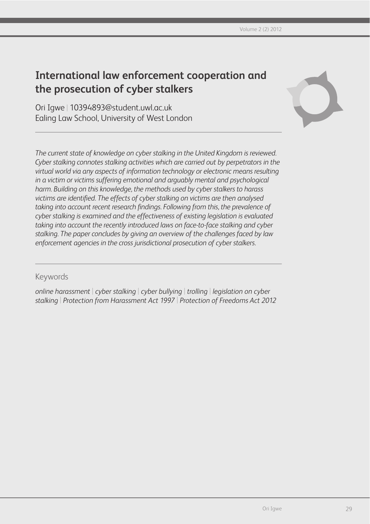# **International law enforcement cooperation and the prosecution of cyber stalkers**

Ori Igwe | 10394893@student.uwl.ac.uk Ealing Law School, University of West London



*The current state of knowledge on cyber stalking in the United Kingdom is reviewed. Cyber stalking connotes stalking activities which are carried out by perpetrators in the virtual world via any aspects of information technology or electronic means resulting in a victim or victims suffering emotional and arguably mental and psychological harm. Building on this knowledge, the methods used by cyber stalkers to harass victims are identified. The effects of cyber stalking on victims are then analysed taking into account recent research findings. Following from this, the prevalence of cyber stalking is examined and the effectiveness of existing legislation is evaluated taking into account the recently introduced laws on face-to-face stalking and cyber stalking. The paper concludes by giving an overview of the challenges faced by law enforcement agencies in the cross jurisdictional prosecution of cyber stalkers.*

### Keywords

*online harassment* | *cyber stalking* | *cyber bullying* | *trolling* | *legislation on cyber stalking* | *Protection from Harassment Act 1997* | *Protection of Freedoms Act 2012*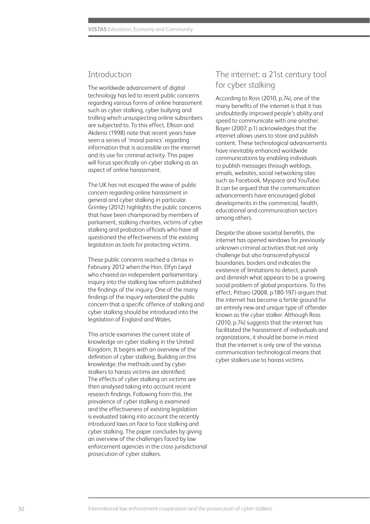### Introduction

The worldwide advancement of digital technology has led to recent public concerns regarding various forms of online harassment such as cyber stalking, cyber bullying and trolling which unsuspecting online subscribers are subjected to. To this effect, Ellison and Akdeniz (1998) note that recent years have seen a series of 'moral panics' regarding information that is accessible on the internet and its use for criminal activity. This paper will focus specifically on cyber stalking as an aspect of online harassment.

The UK has not escaped the wave of public concern regarding online harassment in general and cyber stalking in particular. Grimley (2012) highlights the public concerns that have been championed by members of parliament, stalking charities, victims of cyber stalking and probation officials who have all questioned the effectiveness of the existing legislation as tools for protecting victims.

These public concerns reached a climax in February 2012 when the Hon. Elfyn Lwyd who chaired an independent parliamentary inquiry into the stalking law reform published the findings of the inquiry. One of the many findings of the inquiry reiterated the public concern that a specific offence of stalking and cyber stalking should be introduced into the legislation of England and Wales.

This article examines the current state of knowledge on cyber stalking in the United Kingdom. It begins with an overview of the definition of cyber stalking. Building on this knowledge, the methods used by cyber stalkers to harass victims are identified. The effects of cyber stalking on victims are then analysed taking into account recent research findings. Following from this, the prevalence of cyber stalking is examined and the effectiveness of existing legislation is evaluated taking into account the recently introduced laws on face to face stalking and cyber stalking. The paper concludes by giving an overview of the challenges faced by law enforcement agencies in the cross jurisdictional prosecution of cyber stalkers.

### The internet: a 21st century tool for cyber stalking

According to Ross (2010, p.74), one of the many benefits of the internet is that it has undoubtedly improved people's ability and speed to communicate with one another. Bayer (2007, p.1) acknowledges that the internet allows users to store and publish content. These technological advancements have inevitably enhanced worldwide communications by enabling individuals to publish messages through weblogs, emails, websites, social networking sites such as Facebook, Myspace and YouTube. It can be argued that the communication advancements have encouraged global developments in the commercial, health, educational and communication sectors among others.

Despite the above societal benefits, the internet has opened windows for previously unknown criminal activities that not only challenge but also transcend physical boundaries, borders and indicates the existence of limitations to detect, punish and diminish what appears to be a growing social problem of global proportions. To this effect, Pittaro (2008, p.180-197) argues that the internet has become a fertile ground for an entirely new and unique type of offender known as the cyber stalker. Although Ross (2010, p.74) suggests that the internet has facilitated the harassment of individuals and organizations, it should be borne in mind that the internet is only one of the various communication technological means that cyber stalkers use to harass victims.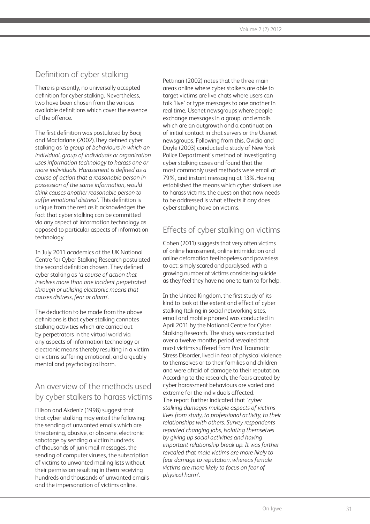### Definition of cyber stalking

There is presently, no universally accepted definition for cyber stalking. Nevertheless, two have been chosen from the various available definitions which cover the essence of the offence.

The first definition was postulated by Bocij and Macfarlane (2002).They defined cyber stalking as *'a group of behaviours in which an individual, group of individuals or organization uses information technology to harass one or more individuals. Harassment is defined as a course of action that a reasonable person in possession of the same information, would think causes another reasonable person to suffer emotional distress'*. This definition is unique from the rest as it acknowledges the fact that cyber stalking can be committed via any aspect of information technology as opposed to particular aspects of information technology.

In July 2011 academics at the UK National Centre for Cyber Stalking Research postulated the second definition chosen. They defined cyber stalking as *'a course of action that involves more than one incident perpetrated through or utilising electronic means that causes distress, fear or alarm'* .

The deduction to be made from the above definitions is that cyber stalking connotes stalking activities which are carried out by perpetrators in the virtual world via any aspects of information technology or electronic means thereby resulting in a victim or victims suffering emotional, and arguably mental and psychological harm.

# An overview of the methods used by cyber stalkers to harass victims

Ellison and Akdeniz (1998) suggest that that cyber stalking may entail the following: the sending of unwanted emails which are threatening, abusive, or obscene, electronic sabotage by sending a victim hundreds of thousands of junk mail messages, the sending of computer viruses, the subscription of victims to unwanted mailing lists without their permission resulting in them receiving hundreds and thousands of unwanted emails and the impersonation of victims online.

Pettinari (2002) notes that the three main areas online where cyber stalkers are able to target victims are live chats where users can talk 'live' or type messages to one another in real time, Usenet newsgroups where people exchange messages in a group, and emails which are an outgrowth and a continuation of initial contact in chat servers or the Usenet newsgroups. Following from this, Ovidio and Doyle (2003) conducted a study of New York Police Department's method of investigating cyber stalking cases and found that the most commonly used methods were email at 79%, and instant messaging at 13%.Having established the means which cyber stalkers use to harass victims, the question that now needs to be addressed is what effects if any does cyber stalking have on victims.

### Effects of cyber stalking on victims

Cohen (2011) suggests that very often victims of online harassment, online intimidation and online defamation feel hopeless and powerless to act: simply scared and paralysed, with a growing number of victims considering suicide as they feel they have no one to turn to for help.

In the United Kingdom, the first study of its kind to look at the extent and effect of cyber stalking (taking in social networking sites, email and mobile phones) was conducted in April 2011 by the National Centre for Cyber Stalking Research. The study was conducted over a twelve months period revealed that most victims suffered from Post Traumatic Stress Disorder, lived in fear of physical violence to themselves or to their families and children and were afraid of damage to their reputation. According to the research, the fears created by cyber harassment behaviours are varied and extreme for the individuals affected. The report further indicated that *'cyber stalking damages multiple aspects of victims lives from study, to professional activity, to their relationships with others. Survey respondents reported changing jobs, isolating themselves by giving up social activities and having important relationship break up. It was further revealed that male victims are more likely to fear damage to reputation, whereas female victims are more likely to focus on fear of physical harm'* .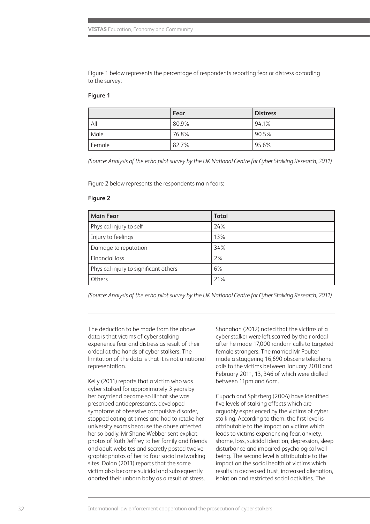Figure 1 below represents the percentage of respondents reporting fear or distress according to the survey:

#### **Figure 1**

|        | Fear  | <b>Distress</b> |
|--------|-------|-----------------|
| All    | 80.9% | 94.1%           |
| Male   | 76.8% | 90.5%           |
| Female | 82.7% | 95.6%           |

*(Source: Analysis of the echo pilot survey by the UK National Centre for Cyber Stalking Research, 2011)*

Figure 2 below represents the respondents main fears:

#### **Figure 2**

| <b>Main Fear</b>                      | <b>Total</b> |
|---------------------------------------|--------------|
| Physical injury to self               | 24%          |
| Injury to feelings                    | 13%          |
| Damage to reputation                  | 34%          |
| Financial loss                        | 2%           |
| Physical injury to significant others | 6%           |
| Others                                | 21%          |

*(Source: Analysis of the echo pilot survey by the UK National Centre for Cyber Stalking Research, 2011)*

The deduction to be made from the above data is that victims of cyber stalking experience fear and distress as result of their ordeal at the hands of cyber stalkers. The limitation of the data is that it is not a national representation.

Kelly (2011) reports that a victim who was cyber stalked for approximately 3 years by her boyfriend became so ill that she was prescribed antidepressants, developed symptoms of obsessive compulsive disorder, stopped eating at times and had to retake her university exams because the abuse affected her so badly. Mr Shane Webber sent explicit photos of Ruth Jeffrey to her family and friends and adult websites and secretly posted twelve graphic photos of her to four social networking sites. Dolan (2011) reports that the same victim also became suicidal and subsequently aborted their unborn baby as a result of stress.

Shanahan (2012) noted that the victims of a cyber stalker were left scarred by their ordeal after he made 17,000 random calls to targeted female strangers. The married Mr Poulter made a staggering 16,690 obscene telephone calls to the victims between January 2010 and February 2011, 13, 346 of which were dialled between 11pm and 6am.

Cupach and Spitzberg (2004) have identified five levels of stalking effects which are arguably experienced by the victims of cyber stalking. According to them, the first level is attributable to the impact on victims which leads to victims experiencing fear, anxiety, shame, loss, suicidal ideation, depression, sleep disturbance and impaired psychological well being. The second level is attributable to the impact on the social health of victims which results in decreased trust, increased alienation, isolation and restricted social activities. The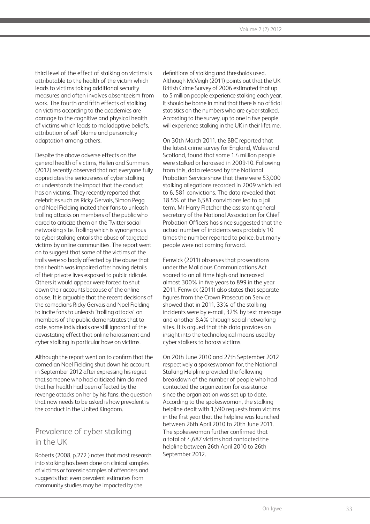third level of the effect of stalking on victims is attributable to the health of the victim which leads to victims taking additional security measures and often involves absenteeism from work. The fourth and fifth effects of stalking on victims according to the academics are damage to the cognitive and physical health of victims which leads to maladaptive beliefs, attribution of self blame and personality adaptation among others.

Despite the above adverse effects on the general health of victims, Hellen and Summers (2012) recently observed that not everyone fully appreciates the seriousness of cyber stalking or understands the impact that the conduct has on victims. They recently reported that celebrities such as Ricky Gervais, Simon Pegg and Noel Fielding incited their fans to unleash trolling attacks on members of the public who dared to criticize them on the Twitter social networking site. Trolling which is synonymous to cyber stalking entails the abuse of targeted victims by online communities. The report went on to suggest that some of the victims of the trolls were so badly affected by the abuse that their health was impaired after having details of their private lives exposed to public ridicule. Others it would appear were forced to shut down their accounts because of the online abuse. It is arguable that the recent decisions of the comedians Ricky Gervais and Noel Fielding to incite fans to unleash 'trolling attacks' on members of the public demonstrates that to date, some individuals are still ignorant of the devastating effect that online harassment and cyber stalking in particular have on victims.

Although the report went on to confirm that the comedian Noel Fielding shut down his account in September 2012 after expressing his regret that someone who had criticized him claimed that her health had been affected by the revenge attacks on her by his fans, the question that now needs to be asked is how prevalent is the conduct in the United Kingdom.

### Prevalence of cyber stalking in the UK

Roberts (2008, p.272 ) notes that most research into stalking has been done on clinical samples of victims or forensic samples of offenders and suggests that even prevalent estimates from community studies may be impacted by the

definitions of stalking and thresholds used. Although McVeigh (2011) points out that the UK British Crime Survey of 2006 estimated that up to 5 million people experience stalking each year, it should be borne in mind that there is no official statistics on the numbers who are cyber stalked. According to the survey, up to one in five people will experience stalking in the UK in their lifetime.

On 30th March 2011, the BBC reported that the latest crime survey for England, Wales and Scotland, found that some 1.4 million people were stalked or harassed in 2009-10. Following from this, data released by the National Probation Service show that there were 53,000 stalking allegations recorded in 2009 which led to 6, 581 convictions. The data revealed that 18.5% of the 6,581 convictions led to a jail term. Mr Harry Fletcher the assistant general secretary of the National Association for Chief Probation Officers has since suggested that the actual number of incidents was probably 10 times the number reported to police, but many people were not coming forward.

Fenwick (2011) observes that prosecutions under the Malicious Communications Act soared to an all time high and increased almost 300% in five years to 899 in the year 2011. Fenwick (2011) also states that separate figures from the Crown Prosecution Service showed that in 2011, 33% of the stalking incidents were by e-mail, 32% by text message and another 8.4% through social networking sites. It is argued that this data provides an insight into the technological means used by cyber stalkers to harass victims.

On 20th June 2010 and 27th September 2012 respectively a spokeswoman for, the National Stalking Helpline provided the following breakdown of the number of people who had contacted the organization for assistance since the organization was set up to date. According to the spokeswoman, the stalking helpline dealt with 1,590 requests from victims in the first year that the helpline was launched between 26th April 2010 to 20th June 2011. The spokeswoman further confirmed that a total of 4,687 victims had contacted the helpline between 26th April 2010 to 26th September 2012.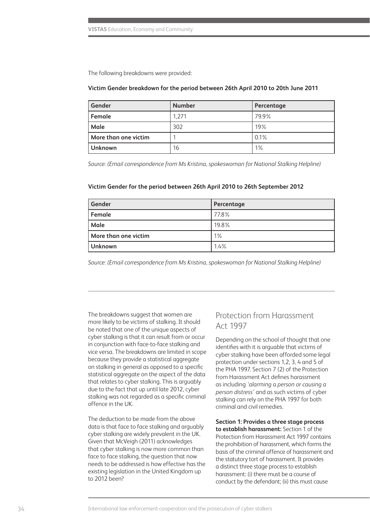The following breakdowns were provided:

#### **Victim Gender breakdown for the period between 26th April 2010 to 20th June 2011**

| Gender               | <b>Number</b> | Percentage |
|----------------------|---------------|------------|
| Female               | 1.271         | 79.9%      |
| Male                 | 302           | 19%        |
| More than one victim |               | 0.1%       |
| <b>Unknown</b>       | 16            | $1\%$      |

*Source: (Email correspondence from Ms Kristina, spokeswoman for National Stalking Helpline)*

#### **Victim Gender for the period between 26th April 2010 to 26th September 2012**

| Gender               | Percentage |
|----------------------|------------|
| Female               | 77.8%      |
| Male                 | 19.8%      |
| More than one victim | $1\%$      |
| <b>Unknown</b>       | 1.4%       |

*Source: (Email correspondence from Ms Kristina, spokeswoman for National Stalking Helpline)*

The breakdowns suggest that women are more likely to be victims of stalking. It should be noted that one of the unique aspects of cyber stalking is that it can result from or occur in conjunction with face-to-face stalking and vice versa. The breakdowns are limited in scope because they provide a statistical aggregate on stalking in general as opposed to a specific statistical aggregate on the aspect of the data that relates to cyber stalking. This is arguably due to the fact that up until late 2012, cyber stalking was not regarded as a specific criminal offence in the UK.

The deduction to be made from the above data is that face to face stalking and arguably cyber stalking are widely prevalent in the UK. Given that McVeigh (2011) acknowledges that cyber stalking is now more common than face to face stalking, the question that now needs to be addressed is how effective has the existing legislation in the United Kingdom up to 2012 been?

### Protection from Harassment Act 1997

Depending on the school of thought that one identifies with it is arguable that victims of cyber stalking have been afforded some legal protection under sections 1,2, 3, 4 and 5 of the PHA 1997. Section 7 (2) of the Protection from Harassment Act defines harassment as including *'alarming a person or causing a person distress'* and as such victims of cyber stalking can rely on the PHA 1997 for both criminal and civil remedies.

**Section 1: Provides a three stage process to establish harassment:** Section 1 of the Protection from Harassment Act 1997 contains the prohibition of harassment, which forms the basis of the criminal offence of harassment and the statutory tort of harassment. It provides a distinct three stage process to establish harassment: (i) there must be a course of conduct by the defendant; (ii) this must cause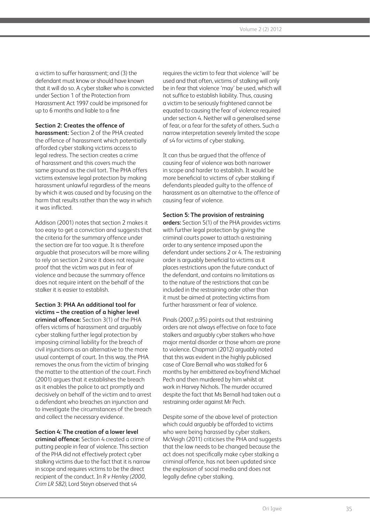a victim to suffer harassment; and (3) the defendant must know or should have known that it will do so. A cyber stalker who is convicted under Section 1 of the Protection from Harassment Act 1997 could be imprisoned for up to 6 months and liable to a fine

### **Section 2: Creates the offence of**

**harassment:** Section 2 of the PHA created the offence of harassment which potentially afforded cyber stalking victims access to legal redress. The section creates a crime of harassment and this covers much the same ground as the civil tort. The PHA offers victims extensive legal protection by making harassment unlawful regardless of the means by which it was caused and by focusing on the harm that results rather than the way in which it was inflicted.

Addison (2001) notes that section 2 makes it too easy to get a conviction and suggests that the criteria for the summary offence under the section are far too vague. It is therefore arguable that prosecutors will be more willing to rely on section 2 since it does not require proof that the victim was put in fear of violence and because the summary offence does not require intent on the behalf of the stalker it is easier to establish.

**Section 3: PHA An additional tool for victims – the creation of a higher level criminal offence:** Section 3(1) of the PHA offers victims of harassment and arguably cyber stalking further legal protection by imposing criminal liability for the breach of civil injunctions as an alternative to the more usual contempt of court. In this way, the PHA removes the onus from the victim of bringing the matter to the attention of the court. Finch (2001) argues that it establishes the breach as it enables the police to act promptly and decisively on behalf of the victim and to arrest a defendant who breaches an injunction and to investigate the circumstances of the breach and collect the necessary evidence.

### **Section 4: The creation of a lower level**

**criminal offence:** Section 4 created a crime of putting people in fear of violence. This section of the PHA did not effectively protect cyber stalking victims due to the fact that it is narrow in scope and requires victims to be the direct recipient of the conduct. In *R v Henley (2000, Crim LR 582)*, Lord Steyn observed that s4

requires the victim to fear that violence 'will' be used and that often, victims of stalking will only be in fear that violence 'may' be used, which will not suffice to establish liability. Thus, causing a victim to be seriously frightened cannot be equated to causing the fear of violence required under section 4. Neither will a generalised sense of fear, or a fear for the safety of others. Such a narrow interpretation severely limited the scope of s4 for victims of cyber stalking.

It can thus be argued that the offence of causing fear of violence was both narrower in scope and harder to establish. It would be more beneficial to victims of cyber stalking if defendants pleaded guilty to the offence of harassment as an alternative to the offence of causing fear of violence.

#### **Section 5: The provision of restraining**

**orders:** Section 5(1) of the PHA provides victims with further legal protection by giving the criminal courts power to attach a restraining order to any sentence imposed upon the defendant under sections 2 or 4. The restraining order is arguably beneficial to victims as it places restrictions upon the future conduct of the defendant, and contains no limitations as to the nature of the restrictions that can be included in the restraining order other than it must be aimed at protecting victims from further harassment or fear of violence.

Pinals (2007, p.95) points out that restraining orders are not always effective on face to face stalkers and arguably cyber stalkers who have major mental disorder or those whom are prone to violence. Chapman (2012) arguably noted that this was evident in the highly publicised case of Clare Bernall who was stalked for 6 months by her embittered ex-boyfriend Michael Pech and then murdered by him whilst at work in Harvey Nichols. The murder occurred despite the fact that Ms Bernall had taken out a restraining order against Mr Pech.

Despite some of the above level of protection which could arguably be afforded to victims who were being harassed by cyber stalkers, McVeigh (2011) criticises the PHA and suggests that the law needs to be changed because the act does not specifically make cyber stalking a criminal offence, has not been updated since the explosion of social media and does not legally define cyber stalking.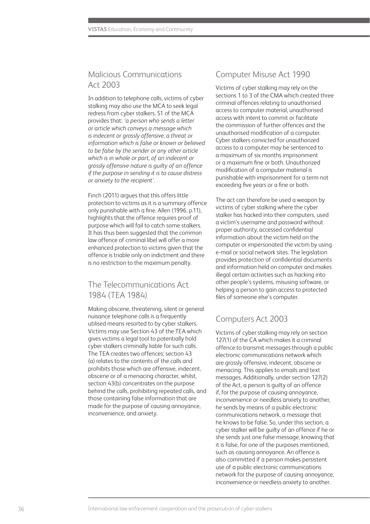### Malicious Communications Act 2003

In addition to telephone calls, victims of cyber stalking may also use the MCA to seek legal redress from cyber stalkers. S1 of the MCA provides that: *'a person who sends a letter or article which conveys a message which is indecent or grossly offensive, a threat or information which is false or known or believed to be false by the sender or any other article which is in whole or part, of an indecent or grossly offensive nature is guilty of an offence if the purpose in sending it is to cause distress or anxiety to the recipient'.*

Finch (2011) argues that this offers little protection to victims as it is a summary offence only punishable with a fine. Allen (1996, p.11), highlights that the offence requires proof of purpose which will fail to catch some stalkers. It has thus been suggested that the common law offence of criminal libel will offer a more enhanced protection to victims given that the offence is triable only on indictment and there is no restriction to the maximum penalty.

### The Telecommunications Act 1984 (TEA 1984)

Making obscene, threatening, silent or general nuisance telephone calls is a frequently utilised means resorted to by cyber stalkers. Victims may use Section 43 of the TEA which gives victims a legal tool to potentially hold cyber stalkers criminally liable for such calls. The TEA creates two offences; section 43 (a) relates to the contents of the calls and prohibits those which are offensive, indecent, obscene or of a menacing character, whilst, section 43(b) concentrates on the purpose behind the calls, prohibiting repeated calls, and those containing false information that are made for the purpose of causing annoyance, inconvenience, and anxiety.

### Computer Misuse Act 1990

Victims of cyber stalking may rely on the sections 1 to 3 of the CMA which created three criminal offences relating to unauthorised access to computer material, unauthorised access with intent to commit or facilitate the commission of further offences and the unauthorised modification of a computer. Cyber stalkers convicted for unauthorized access to a computer may be sentenced to a maximum of six months imprisonment or a maximum fine or both. Unauthorized modification of a computer material is punishable with imprisonment for a term not exceeding five years or a fine or both.

The act can therefore be used a weapon by victims of cyber stalking where the cyber stalker has hacked into their computers, used a victim's username and password without proper authority, accessed confidential information about the victim held on the computer or impersonated the victim by using e-mail or social network sites. The legislation provides protection of confidential documents and information held on computer and makes illegal certain activities such as hacking into other people's systems, misusing software, or helping a person to gain access to protected files of someone else's computer.

## Computers Act 2003

Victims of cyber stalking may rely on section 127(1) of the CA which makes it a criminal offence to transmit messages through a public electronic communications network which are grossly offensive, indecent, obscene or menacing. This applies to emails and text messages. Additionally, under section 127(2) of the Act, a person is guilty of an offence if, for the purpose of causing annoyance, inconvenience or needless anxiety to another, he sends by means of a public electronic communications network, a message that he knows to be false. So, under this section, a cyber stalker will be guilty of an offence if he or she sends just one false message, knowing that it is false, for one of the purposes mentioned, such as causing annoyance. An offence is also committed if a person makes persistent use of a public electronic communications network for the purpose of causing annoyance, inconvenience or needless anxiety to another.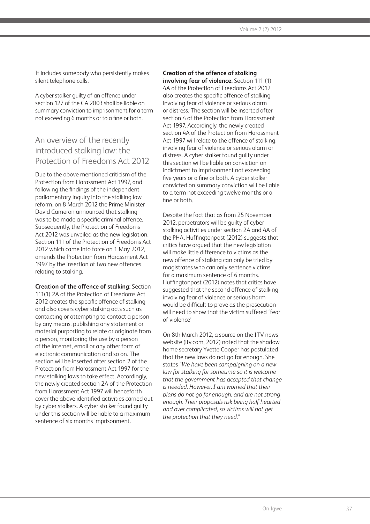It includes somebody who persistently makes silent telephone calls.

A cyber stalker guilty of an offence under section 127 of the CA 2003 shall be liable on summary conviction to imprisonment for a term not exceeding 6 months or to a fine or both.

### An overview of the recently introduced stalking law: the Protection of Freedoms Act 2012

Due to the above mentioned criticism of the Protection from Harassment Act 1997, and following the findings of the independent parliamentary inquiry into the stalking law reform, on 8 March 2012 the Prime Minister David Cameron announced that stalking was to be made a specific criminal offence. Subsequently, the Protection of Freedoms Act 2012 was unveiled as the new legislation. Section 111 of the Protection of Freedoms Act 2012 which came into force on 1 May 2012, amends the Protection from Harassment Act 1997 by the insertion of two new offences relating to stalking.

**Creation of the offence of stalking:** Section 111(1) 2A of the Protection of Freedoms Act 2012 creates the specific offence of stalking and also covers cyber stalking acts such as contacting or attempting to contact a person by any means, publishing any statement or material purporting to relate or originate from a person, monitoring the use by a person of the internet, email or any other form of electronic communication and so on. The section will be inserted after section 2 of the Protection from Harassment Act 1997 for the new stalking laws to take effect. Accordingly, the newly created section 2A of the Protection from Harassment Act 1997 will henceforth cover the above identified activities carried out by cyber stalkers. A cyber stalker found guilty under this section will be liable to a maximum sentence of six months imprisonment.

#### **Creation of the offence of stalking**

**involving fear of violence:** Section 111 (1) 4A of the Protection of Freedoms Act 2012 also creates the specific offence of stalking involving fear of violence or serious alarm or distress. The section will be inserted after section 4 of the Protection from Harassment Act 1997. Accordingly, the newly created section 4A of the Protection from Harassment Act 1997 will relate to the offence of stalking, involving fear of violence or serious alarm or distress. A cyber stalker found guilty under this section will be liable on conviction on indictment to imprisonment not exceeding five years or a fine or both. A cyber stalker convicted on summary conviction will be liable to a term not exceeding twelve months or a fine or both.

Despite the fact that as from 25 November 2012, perpetrators will be guilty of cyber stalking activities under section 2A and 4A of the PHA, Huffingtonpost (2012) suggests that critics have argued that the new legislation will make little difference to victims as the new offence of stalking can only be tried by magistrates who can only sentence victims for a maximum sentence of 6 months. Huffingtonpost (2012) notes that critics have suggested that the second offence of stalking involving fear of violence or serious harm would be difficult to prove as the prosecution will need to show that the victim suffered 'fear of violence'

On 8th March 2012, a source on the ITV news website (itv.com, 2012) noted that the shadow home secretary Yvette Cooper has postulated that the new laws do not go far enough. She states *"We have been campaigning on a new law for stalking for sometime so it is welcome that the government has accepted that change is needed. However, I am worried that their plans do not go far enough, and are not strong enough. Their proposals risk being half hearted and over complicated, so victims will not get the protection that they need."*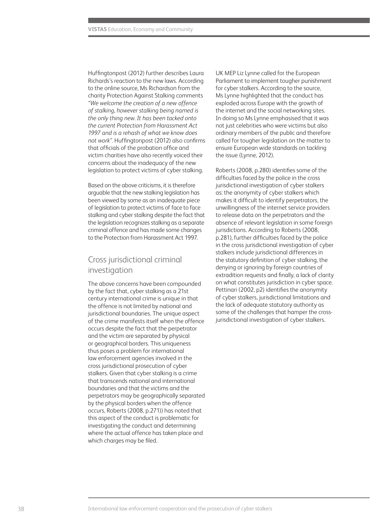Huffingtonpost (2012) further describes Laura Richards's reaction to the new laws. According to the online source, Ms Richardson from the charity Protection Against Stalking comments *"We welcome the creation of a new offence of stalking, however stalking being named is the only thing new. It has been tacked onto the current Protection from Harassment Act 1997 and is a rehash of what we know does not work".* Huffingtonpost (2012) also confirms that officials of the probation office and victim charities have also recently voiced their concerns about the inadequacy of the new legislation to protect victims of cyber stalking.

Based on the above criticisms, it is therefore arguable that the new stalking legislation has been viewed by some as an inadequate piece of legislation to protect victims of face to face stalking and cyber stalking despite the fact that the legislation recognizes stalking as a separate criminal offence and has made some changes to the Protection from Harassment Act 1997.

### Cross jurisdictional criminal investigation

The above concerns have been compounded by the fact that, cyber stalking as a 21st century international crime is unique in that the offence is not limited by national and jurisdictional boundaries. The unique aspect of the crime manifests itself when the offence occurs despite the fact that the perpetrator and the victim are separated by physical or geographical borders. This uniqueness thus poses a problem for international law enforcement agencies involved in the cross jurisdictional prosecution of cyber stalkers. Given that cyber stalking is a crime that transcends national and international boundaries and that the victims and the perpetrators may be geographically separated by the physical borders when the offence occurs, Roberts (2008, p.271)) has noted that this aspect of the conduct is problematic for investigating the conduct and determining where the actual offence has taken place and which charges may be filed.

UK MEP Liz Lynne called for the European Parliament to implement tougher punishment for cyber stalkers. According to the source, Ms Lynne highlighted that the conduct has exploded across Europe with the growth of the internet and the social networking sites. In doing so Ms Lynne emphasised that it was not just celebrities who were victims but also ordinary members of the public and therefore called for tougher legislation on the matter to ensure European wide standards on tackling the issue (Lynne, 2012).

Roberts (2008, p.280) identifies some of the difficulties faced by the police in the cross jurisdictional investigation of cyber stalkers as: the anonymity of cyber stalkers which makes it difficult to identify perpetrators, the unwillingness of the internet service providers to release data on the perpetrators and the absence of relevant legislation in some foreign jurisdictions. According to Roberts (2008, p.281), further difficulties faced by the police in the cross jurisdictional investigation of cyber stalkers include jurisdictional differences in the statutory definition of cyber stalking, the denying or ignoring by foreign countries of extradition requests and finally, a lack of clarity on what constitutes jurisdiction in cyber space. Pettinari (2002, p2) identifies the anonymity of cyber stalkers, jurisdictional limitations and the lack of adequate statutory authority as some of the challenges that hamper the crossjurisdictional investigation of cyber stalkers.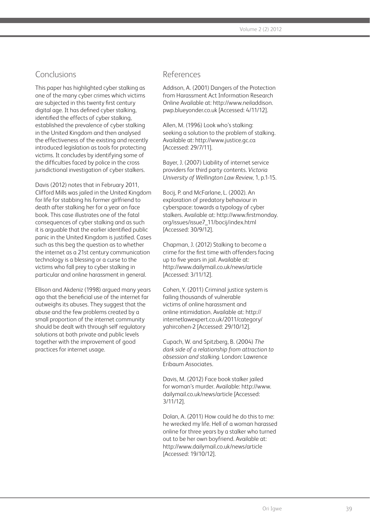### Conclusions

This paper has highlighted cyber stalking as one of the many cyber crimes which victims are subjected in this twenty first century digital age. It has defined cyber stalking, identified the effects of cyber stalking, established the prevalence of cyber stalking in the United Kingdom and then analysed the effectiveness of the existing and recently introduced legislation as tools for protecting victims. It concludes by identifying some of the difficulties faced by police in the cross jurisdictional investigation of cyber stalkers.

Davis (2012) notes that in February 2011, Clifford Mills was jailed in the United Kingdom for life for stabbing his former girlfriend to death after stalking her for a year on face book. This case illustrates one of the fatal consequences of cyber stalking and as such it is arguable that the earlier identified public panic in the United Kingdom is justified. Cases such as this beg the question as to whether the internet as a 21st century communication technology is a blessing or a curse to the victims who fall prey to cyber stalking in particular and online harassment in general.

Ellison and Akdeniz (1998) argued many years ago that the beneficial use of the internet far outweighs its abuses. They suggest that the abuse and the few problems created by a small proportion of the internet community should be dealt with through self regulatory solutions at both private and public levels together with the improvement of good practices for internet usage.

### References

Addison, A. (2001) Dangers of the Protection from Harassment Act Information Research Online Available at: http://www.neiladdison. pwp.blueyonder.co.uk [Accessed: 4/11/12].

Allen, M. (1996) Look who's stalking: seeking a solution to the problem of stalking. Available at: http://www.justice.gc.ca [Accessed: 29/7/11].

Bayer, J. (2007) Liability of internet service providers for third party contents. *Victoria University of Wellington Law Review*, 1, p.1-15.

Bocij, P. and McFarlane, L. (2002). An exploration of predatory behaviour in cyberspace: towards a typology of cyber stalkers. Available at: http://www.firstmonday. org/issues/issue7\_11/bocij/index.html [Accessed: 30/9/12].

Chapman, J. (2012) Stalking to become a crime for the first time with offenders facing up to five years in jail. Available at: http://www.dailymail.co.uk/news/article [Accessed: 3/11/12].

Cohen, Y. (2011) Criminal justice system is failing thousands of vulnerable victims of online harassment and online intimidation. Available at: http:// internetlawexpert.co.uk/2011/category/ yahircohen-2 [Accessed: 29/10/12].

Cupach, W. and Spitzberg, B. (2004) *The dark side of a relationship from attraction to obsession and stalking.* London: Lawrence Eribaum Associates.

Davis, M. (2012) Face book stalker jailed for woman's murder. Available: http://www. dailymail.co.uk/news/article [Accessed: 3/11/12].

Dolan, A. (2011) How could he do this to me: he wrecked my life. Hell of a woman harassed online for three years by a stalker who turned out to be her own boyfriend. Available at: http://www.dailymail.co.uk/news/article [Accessed: 19/10/12].